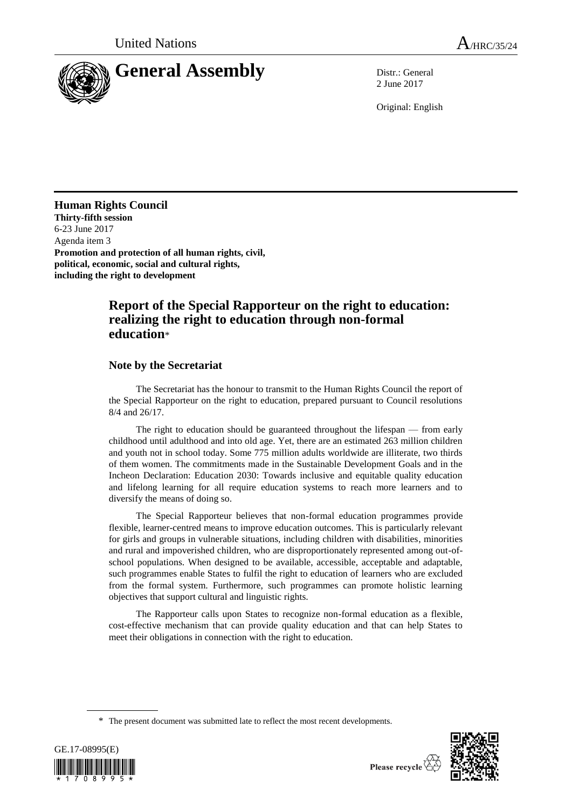

2 June 2017

Original: English

# **Human Rights Council**

**Thirty-fifth session** 6-23 June 2017 Agenda item 3 **Promotion and protection of all human rights, civil, political, economic, social and cultural rights, including the right to development**

# **Report of the Special Rapporteur on the right to education: realizing the right to education through non-formal education**\*

## **Note by the Secretariat**

The Secretariat has the honour to transmit to the Human Rights Council the report of the Special Rapporteur on the right to education, prepared pursuant to Council resolutions 8/4 and 26/17.

The right to education should be guaranteed throughout the lifespan — from early childhood until adulthood and into old age. Yet, there are an estimated 263 million children and youth not in school today. Some 775 million adults worldwide are illiterate, two thirds of them women. The commitments made in the Sustainable Development Goals and in the Incheon Declaration: Education 2030: Towards inclusive and equitable quality education and lifelong learning for all require education systems to reach more learners and to diversify the means of doing so.

The Special Rapporteur believes that non-formal education programmes provide flexible, learner-centred means to improve education outcomes. This is particularly relevant for girls and groups in vulnerable situations, including children with disabilities, minorities and rural and impoverished children, who are disproportionately represented among out-ofschool populations. When designed to be available, accessible, acceptable and adaptable, such programmes enable States to fulfil the right to education of learners who are excluded from the formal system. Furthermore, such programmes can promote holistic learning objectives that support cultural and linguistic rights.

The Rapporteur calls upon States to recognize non-formal education as a flexible, cost-effective mechanism that can provide quality education and that can help States to meet their obligations in connection with the right to education.

<sup>\*</sup> The present document was submitted late to reflect the most recent developments.



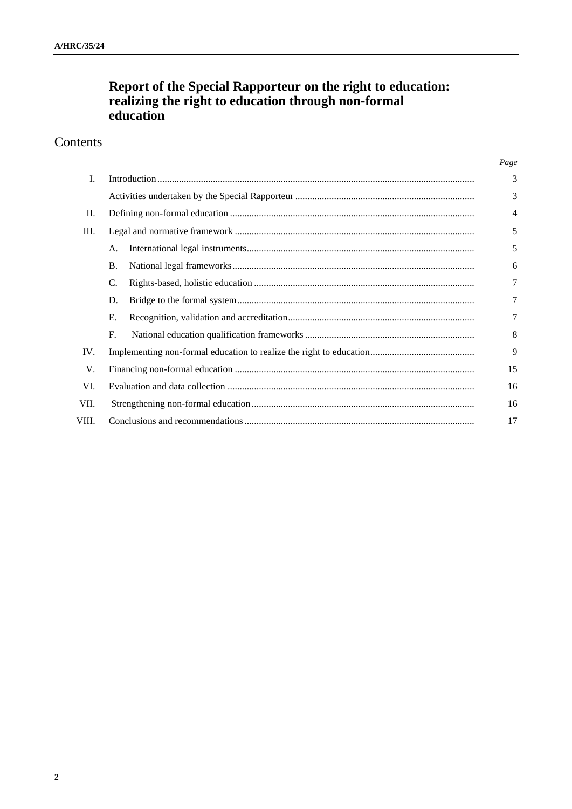# **Report of the Special Rapporteur on the right to education: realizing the right to education through non-formal education**

# Contents

| L.    |             |  | 3              |
|-------|-------------|--|----------------|
|       |             |  | 3              |
| П.    |             |  | $\overline{4}$ |
| Ш.    |             |  | 5              |
|       | A.          |  | 5              |
|       | <b>B.</b>   |  | 6              |
|       | C.          |  | 7              |
|       | D.          |  | 7              |
|       | Е.          |  | 7              |
|       | $F_{\cdot}$ |  | 8              |
| IV.   |             |  | 9              |
| V.    |             |  | 15             |
| VI.   |             |  | 16             |
| VII.  |             |  | 16             |
| VIII. |             |  | 17             |

*Page*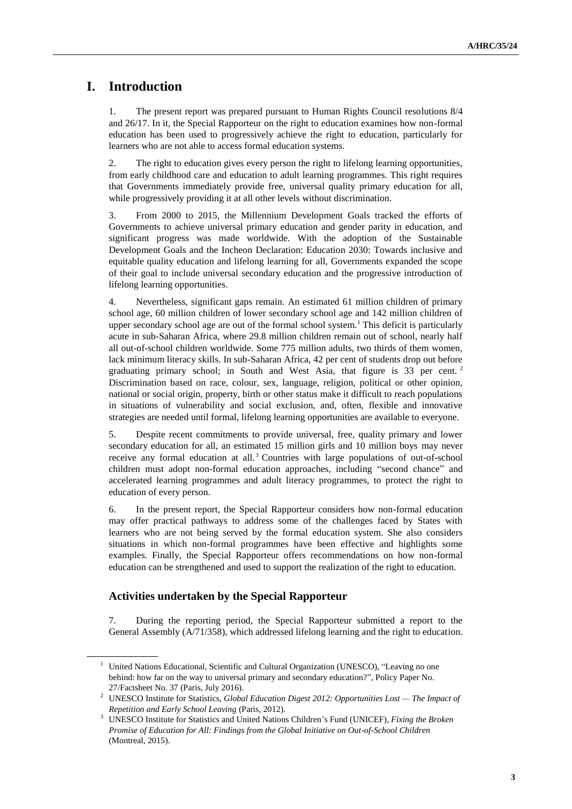# **I. Introduction**

1. The present report was prepared pursuant to Human Rights Council resolutions 8/4 and 26/17. In it, the Special Rapporteur on the right to education examines how non-formal education has been used to progressively achieve the right to education, particularly for learners who are not able to access formal education systems.

2. The right to education gives every person the right to lifelong learning opportunities, from early childhood care and education to adult learning programmes. This right requires that Governments immediately provide free, universal quality primary education for all, while progressively providing it at all other levels without discrimination.

3. From 2000 to 2015, the Millennium Development Goals tracked the efforts of Governments to achieve universal primary education and gender parity in education, and significant progress was made worldwide. With the adoption of the Sustainable Development Goals and the Incheon Declaration: Education 2030: Towards inclusive and equitable quality education and lifelong learning for all, Governments expanded the scope of their goal to include universal secondary education and the progressive introduction of lifelong learning opportunities.

4. Nevertheless, significant gaps remain. An estimated 61 million children of primary school age, 60 million children of lower secondary school age and 142 million children of upper secondary school age are out of the formal school system.<sup>1</sup> This deficit is particularly acute in sub-Saharan Africa, where 29.8 million children remain out of school, nearly half all out-of-school children worldwide. Some 775 million adults, two thirds of them women, lack minimum literacy skills. In sub-Saharan Africa, 42 per cent of students drop out before graduating primary school; in South and West Asia, that figure is 33 per cent. <sup>2</sup> Discrimination based on race, colour, sex, language, religion, political or other opinion, national or social origin, property, birth or other status make it difficult to reach populations in situations of vulnerability and social exclusion, and, often, flexible and innovative strategies are needed until formal, lifelong learning opportunities are available to everyone.

5. Despite recent commitments to provide universal, free, quality primary and lower secondary education for all, an estimated 15 million girls and 10 million boys may never receive any formal education at all.<sup>3</sup> Countries with large populations of out-of-school children must adopt non-formal education approaches, including "second chance" and accelerated learning programmes and adult literacy programmes, to protect the right to education of every person.

6. In the present report, the Special Rapporteur considers how non-formal education may offer practical pathways to address some of the challenges faced by States with learners who are not being served by the formal education system. She also considers situations in which non-formal programmes have been effective and highlights some examples. Finally, the Special Rapporteur offers recommendations on how non-formal education can be strengthened and used to support the realization of the right to education.

## **Activities undertaken by the Special Rapporteur**

7. During the reporting period, the Special Rapporteur submitted a report to the General Assembly (A/71/358), which addressed lifelong learning and the right to education.

<sup>1</sup> United Nations Educational, Scientific and Cultural Organization (UNESCO), "Leaving no one behind: how far on the way to universal primary and secondary education?", Policy Paper No. 27/Factsheet No. 37 (Paris, July 2016).

<sup>2</sup> UNESCO Institute for Statistics, *Global Education Digest 2012: Opportunities Lost — The Impact of Repetition and Early School Leaving* (Paris, 2012).

<sup>3</sup> UNESCO Institute for Statistics and United Nations Children's Fund (UNICEF), *Fixing the Broken Promise of Education for All: Findings from the Global Initiative on Out-of-School Children* (Montreal, 2015).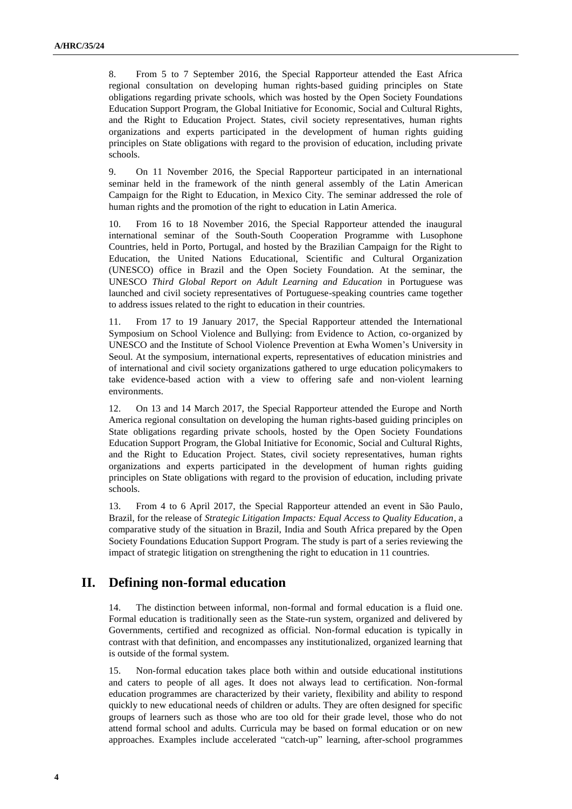8. From 5 to 7 September 2016, the Special Rapporteur attended the East Africa regional consultation on developing human rights-based guiding principles on State obligations regarding private schools, which was hosted by the Open Society Foundations Education Support Program, the Global Initiative for Economic, Social and Cultural Rights, and the Right to Education Project. States, civil society representatives, human rights organizations and experts participated in the development of human rights guiding principles on State obligations with regard to the provision of education, including private schools.

9. On 11 November 2016, the Special Rapporteur participated in an international seminar held in the framework of the ninth general assembly of the Latin American Campaign for the Right to Education, in Mexico City. The seminar addressed the role of human rights and the promotion of the right to education in Latin America.

10. From 16 to 18 November 2016, the Special Rapporteur attended the inaugural international seminar of the South-South Cooperation Programme with Lusophone Countries, held in Porto, Portugal, and hosted by the Brazilian Campaign for the Right to Education, the United Nations Educational, Scientific and Cultural Organization (UNESCO) office in Brazil and the Open Society Foundation. At the seminar, the UNESCO *Third Global Report on Adult Learning and Education* in Portuguese was launched and civil society representatives of Portuguese-speaking countries came together to address issues related to the right to education in their countries.

11. From 17 to 19 January 2017, the Special Rapporteur attended the International Symposium on School Violence and Bullying: from Evidence to Action, co-organized by UNESCO and the Institute of School Violence Prevention at Ewha Women's University in Seoul. At the symposium, international experts, representatives of education ministries and of international and civil society organizations gathered to urge education policymakers to take evidence-based action with a view to offering safe and non‐violent learning environments.

12. On 13 and 14 March 2017, the Special Rapporteur attended the Europe and North America regional consultation on developing the human rights-based guiding principles on State obligations regarding private schools, hosted by the Open Society Foundations Education Support Program, the Global Initiative for Economic, Social and Cultural Rights, and the Right to Education Project. States, civil society representatives, human rights organizations and experts participated in the development of human rights guiding principles on State obligations with regard to the provision of education, including private schools.

13. From 4 to 6 April 2017, the Special Rapporteur attended an event in São Paulo, Brazil, for the release of *Strategic Litigation Impacts: Equal Access to Quality Education*, a comparative study of the situation in Brazil, India and South Africa prepared by the Open Society Foundations Education Support Program. The study is part of a series reviewing the impact of strategic litigation on strengthening the right to education in 11 countries.

# **II. Defining non-formal education**

14. The distinction between informal, non-formal and formal education is a fluid one. Formal education is traditionally seen as the State-run system, organized and delivered by Governments, certified and recognized as official. Non-formal education is typically in contrast with that definition, and encompasses any institutionalized, organized learning that is outside of the formal system.

15. Non-formal education takes place both within and outside educational institutions and caters to people of all ages. It does not always lead to certification. Non-formal education programmes are characterized by their variety, flexibility and ability to respond quickly to new educational needs of children or adults. They are often designed for specific groups of learners such as those who are too old for their grade level, those who do not attend formal school and adults. Curricula may be based on formal education or on new approaches. Examples include accelerated "catch-up" learning, after-school programmes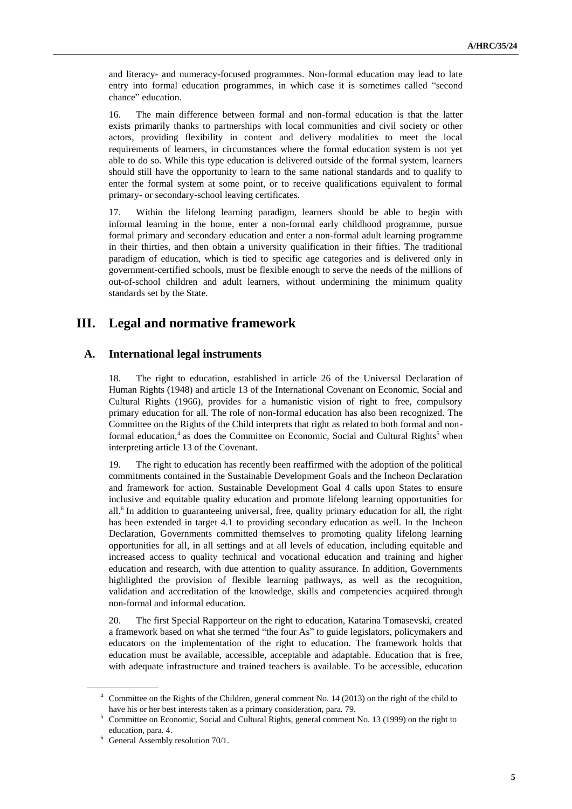and literacy- and numeracy-focused programmes. Non-formal education may lead to late entry into formal education programmes, in which case it is sometimes called "second chance" education.

16. The main difference between formal and non-formal education is that the latter exists primarily thanks to partnerships with local communities and civil society or other actors, providing flexibility in content and delivery modalities to meet the local requirements of learners, in circumstances where the formal education system is not yet able to do so. While this type education is delivered outside of the formal system, learners should still have the opportunity to learn to the same national standards and to qualify to enter the formal system at some point, or to receive qualifications equivalent to formal primary- or secondary-school leaving certificates.

17. Within the lifelong learning paradigm, learners should be able to begin with informal learning in the home, enter a non-formal early childhood programme, pursue formal primary and secondary education and enter a non-formal adult learning programme in their thirties, and then obtain a university qualification in their fifties. The traditional paradigm of education, which is tied to specific age categories and is delivered only in government-certified schools, must be flexible enough to serve the needs of the millions of out-of-school children and adult learners, without undermining the minimum quality standards set by the State.

# **III. Legal and normative framework**

## **A. International legal instruments**

18. The right to education, established in article 26 of the Universal Declaration of Human Rights (1948) and article 13 of the International Covenant on Economic, Social and Cultural Rights (1966), provides for a humanistic vision of right to free, compulsory primary education for all. The role of non-formal education has also been recognized. The Committee on the Rights of the Child interprets that right as related to both formal and nonformal education,<sup>4</sup> as does the Committee on Economic, Social and Cultural Rights<sup>5</sup> when interpreting article 13 of the Covenant.

19. The right to education has recently been reaffirmed with the adoption of the political commitments contained in the Sustainable Development Goals and the Incheon Declaration and framework for action. Sustainable Development Goal 4 calls upon States to ensure inclusive and equitable quality education and promote lifelong learning opportunities for all.<sup>6</sup> In addition to guaranteeing universal, free, quality primary education for all, the right has been extended in target 4.1 to providing secondary education as well. In the Incheon Declaration, Governments committed themselves to promoting quality lifelong learning opportunities for all, in all settings and at all levels of education, including equitable and increased access to quality technical and vocational education and training and higher education and research, with due attention to quality assurance. In addition, Governments highlighted the provision of flexible learning pathways, as well as the recognition, validation and accreditation of the knowledge, skills and competencies acquired through non-formal and informal education.

20. The first Special Rapporteur on the right to education, Katarina Tomasevski, created a framework based on what she termed "the four As" to guide legislators, policymakers and educators on the implementation of the right to education. The framework holds that education must be available, accessible, acceptable and adaptable. Education that is free, with adequate infrastructure and trained teachers is available. To be accessible, education

Committee on the Rights of the Children, general comment No. 14 (2013) on the right of the child to have his or her best interests taken as a primary consideration, para. 79.

 $5$  Committee on Economic, Social and Cultural Rights, general comment No. 13 (1999) on the right to education, para. 4.

<sup>&</sup>lt;sup>6</sup> General Assembly resolution 70/1.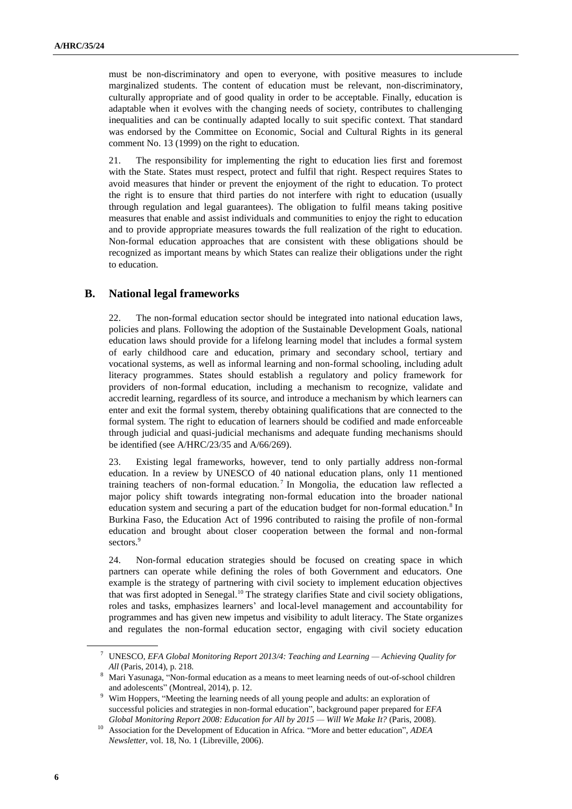must be non-discriminatory and open to everyone, with positive measures to include marginalized students. The content of education must be relevant, non-discriminatory, culturally appropriate and of good quality in order to be acceptable. Finally, education is adaptable when it evolves with the changing needs of society, contributes to challenging inequalities and can be continually adapted locally to suit specific context. That standard was endorsed by the Committee on Economic, Social and Cultural Rights in its general comment No. 13 (1999) on the right to education.

21. The responsibility for implementing the right to education lies first and foremost with the State. States must respect, protect and fulfil that right. Respect requires States to avoid measures that hinder or prevent the enjoyment of the right to education. To protect the right is to ensure that third parties do not interfere with right to education (usually through regulation and legal guarantees). The obligation to fulfil means taking positive measures that enable and assist individuals and communities to enjoy the right to education and to provide appropriate measures towards the full realization of the right to education. Non-formal education approaches that are consistent with these obligations should be recognized as important means by which States can realize their obligations under the right to education.

### **B. National legal frameworks**

22. The non-formal education sector should be integrated into national education laws, policies and plans. Following the adoption of the Sustainable Development Goals, national education laws should provide for a lifelong learning model that includes a formal system of early childhood care and education, primary and secondary school, tertiary and vocational systems, as well as informal learning and non-formal schooling, including adult literacy programmes. States should establish a regulatory and policy framework for providers of non-formal education, including a mechanism to recognize, validate and accredit learning, regardless of its source, and introduce a mechanism by which learners can enter and exit the formal system, thereby obtaining qualifications that are connected to the formal system. The right to education of learners should be codified and made enforceable through judicial and quasi-judicial mechanisms and adequate funding mechanisms should be identified (see A/HRC/23/35 and A/66/269).

23. Existing legal frameworks, however, tend to only partially address non-formal education. In a review by UNESCO of 40 national education plans, only 11 mentioned training teachers of non-formal education.<sup>7</sup> In Mongolia, the education law reflected a major policy shift towards integrating non-formal education into the broader national education system and securing a part of the education budget for non-formal education.<sup>8</sup> In Burkina Faso, the Education Act of 1996 contributed to raising the profile of non-formal education and brought about closer cooperation between the formal and non-formal sectors.<sup>9</sup>

24. Non-formal education strategies should be focused on creating space in which partners can operate while defining the roles of both Government and educators. One example is the strategy of partnering with civil society to implement education objectives that was first adopted in Senegal.<sup>10</sup> The strategy clarifies State and civil society obligations, roles and tasks, emphasizes learners' and local-level management and accountability for programmes and has given new impetus and visibility to adult literacy. The State organizes and regulates the non-formal education sector, engaging with civil society education

<sup>7</sup> UNESCO, *EFA Global Monitoring Report 2013/4: Teaching and Learning — Achieving Quality for All* (Paris, 2014), p. 218.

<sup>8</sup> Mari Yasunaga, "Non-formal education as a means to meet learning needs of out-of-school children and adolescents" (Montreal, 2014), p. 12.

<sup>9</sup> Wim Hoppers, "Meeting the learning needs of all young people and adults: an exploration of successful policies and strategies in non-formal education", background paper prepared for *EFA Global Monitoring Report 2008: Education for All by 2015 — Will We Make It?* (Paris, 2008).

<sup>10</sup> Association for the Development of Education in Africa. "More and better education", *ADEA Newsletter*, vol. 18, No. 1 (Libreville, 2006).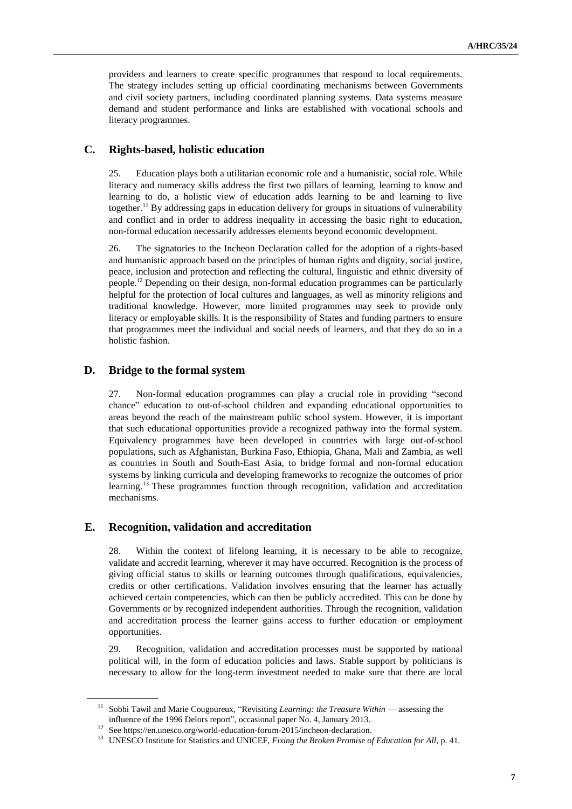providers and learners to create specific programmes that respond to local requirements. The strategy includes setting up official coordinating mechanisms between Governments and civil society partners, including coordinated planning systems. Data systems measure demand and student performance and links are established with vocational schools and literacy programmes.

## **C. Rights-based, holistic education**

25. Education plays both a utilitarian economic role and a humanistic, social role. While literacy and numeracy skills address the first two pillars of learning, learning to know and learning to do, a holistic view of education adds learning to be and learning to live together.<sup>11</sup> By addressing gaps in education delivery for groups in situations of vulnerability and conflict and in order to address inequality in accessing the basic right to education, non-formal education necessarily addresses elements beyond economic development.

26. The signatories to the Incheon Declaration called for the adoption of a rights-based and humanistic approach based on the principles of human rights and dignity, social justice, peace, inclusion and protection and reflecting the cultural, linguistic and ethnic diversity of people.<sup>12</sup> Depending on their design, non-formal education programmes can be particularly helpful for the protection of local cultures and languages, as well as minority religions and traditional knowledge. However, more limited programmes may seek to provide only literacy or employable skills. It is the responsibility of States and funding partners to ensure that programmes meet the individual and social needs of learners, and that they do so in a holistic fashion.

### **D. Bridge to the formal system**

27. Non-formal education programmes can play a crucial role in providing "second chance" education to out-of-school children and expanding educational opportunities to areas beyond the reach of the mainstream public school system. However, it is important that such educational opportunities provide a recognized pathway into the formal system. Equivalency programmes have been developed in countries with large out-of-school populations, such as Afghanistan, Burkina Faso, Ethiopia, Ghana, Mali and Zambia, as well as countries in South and South-East Asia, to bridge formal and non-formal education systems by linking curricula and developing frameworks to recognize the outcomes of prior learning.<sup>13</sup> These programmes function through recognition, validation and accreditation mechanisms.

### **E. Recognition, validation and accreditation**

28. Within the context of lifelong learning, it is necessary to be able to recognize, validate and accredit learning, wherever it may have occurred. Recognition is the process of giving official status to skills or learning outcomes through qualifications, equivalencies, credits or other certifications. Validation involves ensuring that the learner has actually achieved certain competencies, which can then be publicly accredited. This can be done by Governments or by recognized independent authorities. Through the recognition, validation and accreditation process the learner gains access to further education or employment opportunities.

29. Recognition, validation and accreditation processes must be supported by national political will, in the form of education policies and laws. Stable support by politicians is necessary to allow for the long-term investment needed to make sure that there are local

<sup>&</sup>lt;sup>11</sup> Sobhi Tawil and Marie Cougoureux, "Revisiting *Learning: the Treasure Within* — assessing the influence of the 1996 Delors report", occasional paper No. 4, January 2013.

See https://en.unesco.org/world-education-forum-2015/incheon-declaration.

<sup>&</sup>lt;sup>13</sup> UNESCO Institute for Statistics and UNICEF, *Fixing the Broken Promise of Education for All*, p. 41.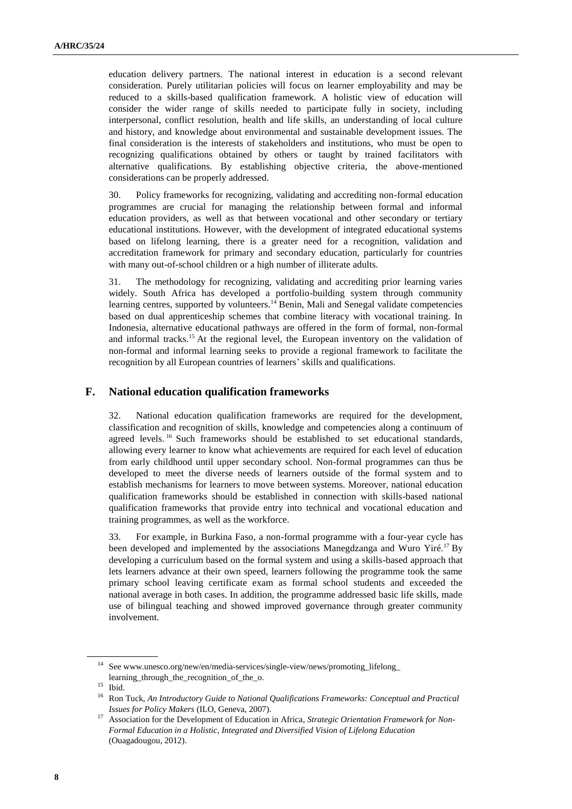education delivery partners. The national interest in education is a second relevant consideration. Purely utilitarian policies will focus on learner employability and may be reduced to a skills-based qualification framework. A holistic view of education will consider the wider range of skills needed to participate fully in society, including interpersonal, conflict resolution, health and life skills, an understanding of local culture and history, and knowledge about environmental and sustainable development issues. The final consideration is the interests of stakeholders and institutions, who must be open to recognizing qualifications obtained by others or taught by trained facilitators with alternative qualifications. By establishing objective criteria, the above-mentioned considerations can be properly addressed.

30. Policy frameworks for recognizing, validating and accrediting non-formal education programmes are crucial for managing the relationship between formal and informal education providers, as well as that between vocational and other secondary or tertiary educational institutions. However, with the development of integrated educational systems based on lifelong learning, there is a greater need for a recognition, validation and accreditation framework for primary and secondary education, particularly for countries with many out-of-school children or a high number of illiterate adults.

31. The methodology for recognizing, validating and accrediting prior learning varies widely. South Africa has developed a portfolio-building system through community learning centres, supported by volunteers.<sup>14</sup> Benin, Mali and Senegal validate competencies based on dual apprenticeship schemes that combine literacy with vocational training. In Indonesia, alternative educational pathways are offered in the form of formal, non-formal and informal tracks.<sup>15</sup> At the regional level, the European inventory on the validation of non-formal and informal learning seeks to provide a regional framework to facilitate the recognition by all European countries of learners' skills and qualifications.

### **F. National education qualification frameworks**

32. National education qualification frameworks are required for the development, classification and recognition of skills, knowledge and competencies along a continuum of agreed levels.<sup>16</sup> Such frameworks should be established to set educational standards, allowing every learner to know what achievements are required for each level of education from early childhood until upper secondary school. Non-formal programmes can thus be developed to meet the diverse needs of learners outside of the formal system and to establish mechanisms for learners to move between systems. Moreover, national education qualification frameworks should be established in connection with skills-based national qualification frameworks that provide entry into technical and vocational education and training programmes, as well as the workforce.

33. For example, in Burkina Faso, a non-formal programme with a four-year cycle has been developed and implemented by the associations Manegdzanga and Wuro Yiré.<sup>17</sup> By developing a curriculum based on the formal system and using a skills-based approach that lets learners advance at their own speed, learners following the programme took the same primary school leaving certificate exam as formal school students and exceeded the national average in both cases. In addition, the programme addressed basic life skills, made use of bilingual teaching and showed improved governance through greater community involvement.

 $^{14}\,$  See www.unesco.org/new/en/media-services/single-view/news/promoting\_lifelong\_ learning\_through\_the\_recognition\_of\_the\_o.

<sup>15</sup> Ibid.

<sup>16</sup> Ron Tuck, *An Introductory Guide to National Qualifications Frameworks: Conceptual and Practical Issues for Policy Makers* (ILO, Geneva, 2007).

<sup>17</sup> Association for the Development of Education in Africa, *Strategic Orientation Framework for Non-Formal Education in a Holistic, Integrated and Diversified Vision of Lifelong Education* (Ouagadougou, 2012).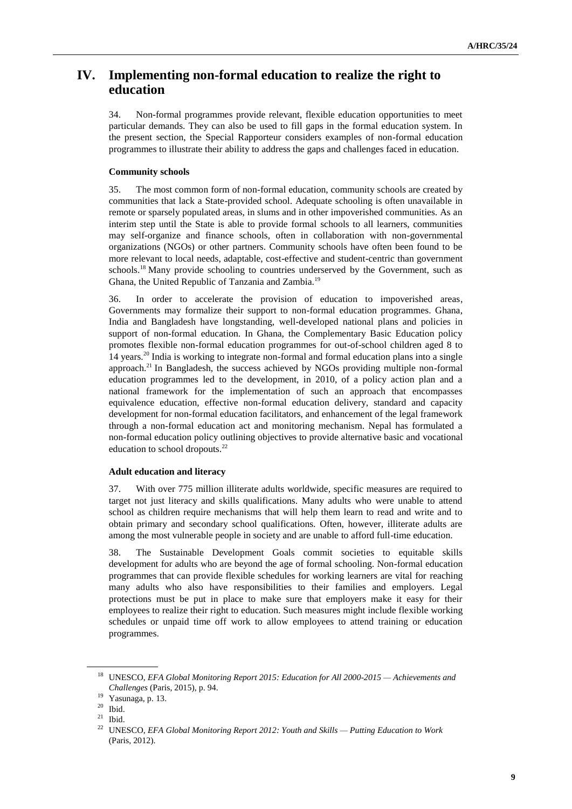# **IV. Implementing non-formal education to realize the right to education**

34. Non-formal programmes provide relevant, flexible education opportunities to meet particular demands. They can also be used to fill gaps in the formal education system. In the present section, the Special Rapporteur considers examples of non-formal education programmes to illustrate their ability to address the gaps and challenges faced in education.

### **Community schools**

35. The most common form of non-formal education, community schools are created by communities that lack a State-provided school. Adequate schooling is often unavailable in remote or sparsely populated areas, in slums and in other impoverished communities. As an interim step until the State is able to provide formal schools to all learners, communities may self-organize and finance schools, often in collaboration with non-governmental organizations (NGOs) or other partners. Community schools have often been found to be more relevant to local needs, adaptable, cost-effective and student-centric than government schools.<sup>18</sup> Many provide schooling to countries underserved by the Government, such as Ghana, the United Republic of Tanzania and Zambia.<sup>19</sup>

36. In order to accelerate the provision of education to impoverished areas, Governments may formalize their support to non-formal education programmes. Ghana, India and Bangladesh have longstanding, well-developed national plans and policies in support of non-formal education. In Ghana, the Complementary Basic Education policy promotes flexible non-formal education programmes for out-of-school children aged 8 to 14 years.<sup>20</sup> India is working to integrate non-formal and formal education plans into a single approach.<sup>21</sup> In Bangladesh, the success achieved by NGOs providing multiple non-formal education programmes led to the development, in 2010, of a policy action plan and a national framework for the implementation of such an approach that encompasses equivalence education, effective non-formal education delivery, standard and capacity development for non-formal education facilitators, and enhancement of the legal framework through a non-formal education act and monitoring mechanism. Nepal has formulated a non-formal education policy outlining objectives to provide alternative basic and vocational education to school dropouts.<sup>22</sup>

#### **Adult education and literacy**

37. With over 775 million illiterate adults worldwide, specific measures are required to target not just literacy and skills qualifications. Many adults who were unable to attend school as children require mechanisms that will help them learn to read and write and to obtain primary and secondary school qualifications. Often, however, illiterate adults are among the most vulnerable people in society and are unable to afford full-time education.

38. The Sustainable Development Goals commit societies to equitable skills development for adults who are beyond the age of formal schooling. Non-formal education programmes that can provide flexible schedules for working learners are vital for reaching many adults who also have responsibilities to their families and employers. Legal protections must be put in place to make sure that employers make it easy for their employees to realize their right to education. Such measures might include flexible working schedules or unpaid time off work to allow employees to attend training or education programmes.

<sup>18</sup> UNESCO, *EFA Global Monitoring Report 2015: Education for All 2000-2015 — Achievements and Challenges* (Paris, 2015), p. 94.

Yasunaga, p. 13.

 $^{20}$  Ibid.

 $21$  Ibid.

<sup>22</sup> UNESCO, *EFA Global Monitoring Report 2012: Youth and Skills — Putting Education to Work* (Paris, 2012).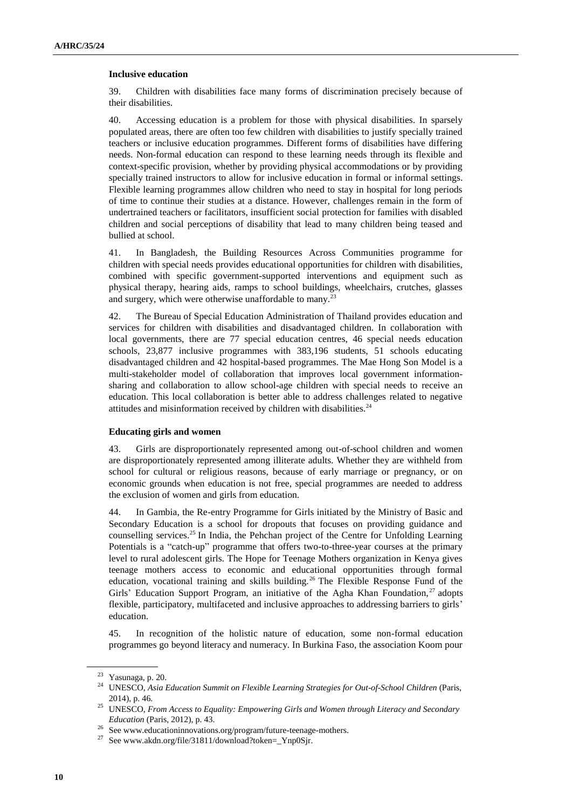#### **Inclusive education**

39. Children with disabilities face many forms of discrimination precisely because of their disabilities.

40. Accessing education is a problem for those with physical disabilities. In sparsely populated areas, there are often too few children with disabilities to justify specially trained teachers or inclusive education programmes. Different forms of disabilities have differing needs. Non-formal education can respond to these learning needs through its flexible and context-specific provision, whether by providing physical accommodations or by providing specially trained instructors to allow for inclusive education in formal or informal settings. Flexible learning programmes allow children who need to stay in hospital for long periods of time to continue their studies at a distance. However, challenges remain in the form of undertrained teachers or facilitators, insufficient social protection for families with disabled children and social perceptions of disability that lead to many children being teased and bullied at school.

41. In Bangladesh, the Building Resources Across Communities programme for children with special needs provides educational opportunities for children with disabilities, combined with specific government-supported interventions and equipment such as physical therapy, hearing aids, ramps to school buildings, wheelchairs, crutches, glasses and surgery, which were otherwise unaffordable to many.<sup>23</sup>

42. The Bureau of Special Education Administration of Thailand provides education and services for children with disabilities and disadvantaged children. In collaboration with local governments, there are 77 special education centres, 46 special needs education schools, 23,877 inclusive programmes with 383,196 students, 51 schools educating disadvantaged children and 42 hospital-based programmes. The Mae Hong Son Model is a multi-stakeholder model of collaboration that improves local government informationsharing and collaboration to allow school-age children with special needs to receive an education. This local collaboration is better able to address challenges related to negative attitudes and misinformation received by children with disabilities.<sup>24</sup>

#### **Educating girls and women**

43. Girls are disproportionately represented among out-of-school children and women are disproportionately represented among illiterate adults. Whether they are withheld from school for cultural or religious reasons, because of early marriage or pregnancy, or on economic grounds when education is not free, special programmes are needed to address the exclusion of women and girls from education.

44. In Gambia, the Re-entry Programme for Girls initiated by the Ministry of Basic and Secondary Education is a school for dropouts that focuses on providing guidance and counselling services.<sup>25</sup> In India, the Pehchan project of the Centre for Unfolding Learning Potentials is a "catch-up" programme that offers two-to-three-year courses at the primary level to rural adolescent girls. The Hope for Teenage Mothers organization in Kenya gives teenage mothers access to economic and educational opportunities through formal education, vocational training and skills building.<sup>26</sup> The Flexible Response Fund of the Girls' Education Support Program, an initiative of the Agha Khan Foundation,<sup>27</sup> adopts flexible, participatory, multifaceted and inclusive approaches to addressing barriers to girls' education.

45. In recognition of the holistic nature of education, some non-formal education programmes go beyond literacy and numeracy. In Burkina Faso, the association Koom pour

<sup>23</sup> Yasunaga, p. 20.

<sup>&</sup>lt;sup>24</sup> UNESCO, *Asia Education Summit on Flexible Learning Strategies for Out-of-School Children* (Paris, 2014), p. 46.

<sup>25</sup> UNESCO, *From Access to Equality: Empowering Girls and Women through Literacy and Secondary Education* (Paris, 2012), p. 43.

See www.educationinnovations.org/program/future-teenage-mothers.

See www.akdn.org/file/31811/download?token=\_Ynp0Sjr.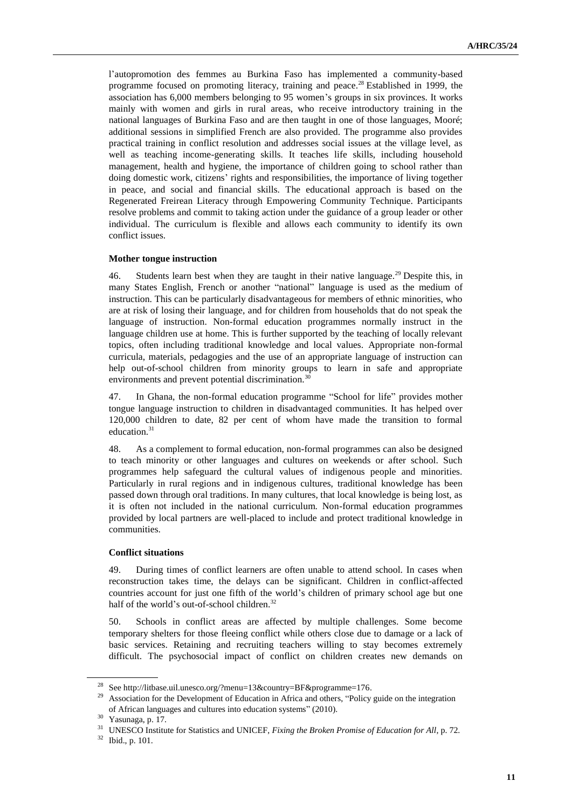l'autopromotion des femmes au Burkina Faso has implemented a community-based programme focused on promoting literacy, training and peace.<sup>28</sup> Established in 1999, the association has 6,000 members belonging to 95 women's groups in six provinces. It works mainly with women and girls in rural areas, who receive introductory training in the national languages of Burkina Faso and are then taught in one of those languages, Mooré; additional sessions in simplified French are also provided. The programme also provides practical training in conflict resolution and addresses social issues at the village level, as well as teaching income-generating skills. It teaches life skills, including household management, health and hygiene, the importance of children going to school rather than doing domestic work, citizens' rights and responsibilities, the importance of living together in peace, and social and financial skills. The educational approach is based on the Regenerated Freirean Literacy through Empowering Community Technique. Participants resolve problems and commit to taking action under the guidance of a group leader or other individual. The curriculum is flexible and allows each community to identify its own conflict issues.

### **Mother tongue instruction**

46. Students learn best when they are taught in their native language.<sup>29</sup> Despite this, in many States English, French or another "national" language is used as the medium of instruction. This can be particularly disadvantageous for members of ethnic minorities, who are at risk of losing their language, and for children from households that do not speak the language of instruction. Non-formal education programmes normally instruct in the language children use at home. This is further supported by the teaching of locally relevant topics, often including traditional knowledge and local values. Appropriate non-formal curricula, materials, pedagogies and the use of an appropriate language of instruction can help out-of-school children from minority groups to learn in safe and appropriate environments and prevent potential discrimination.<sup>30</sup>

47. In Ghana, the non-formal education programme "School for life" provides mother tongue language instruction to children in disadvantaged communities. It has helped over 120,000 children to date, 82 per cent of whom have made the transition to formal education.<sup>31</sup>

48. As a complement to formal education, non-formal programmes can also be designed to teach minority or other languages and cultures on weekends or after school. Such programmes help safeguard the cultural values of indigenous people and minorities. Particularly in rural regions and in indigenous cultures, traditional knowledge has been passed down through oral traditions. In many cultures, that local knowledge is being lost, as it is often not included in the national curriculum. Non-formal education programmes provided by local partners are well-placed to include and protect traditional knowledge in communities.

### **Conflict situations**

49. During times of conflict learners are often unable to attend school. In cases when reconstruction takes time, the delays can be significant. Children in conflict-affected countries account for just one fifth of the world's children of primary school age but one half of the world's out-of-school children.<sup>32</sup>

50. Schools in conflict areas are affected by multiple challenges. Some become temporary shelters for those fleeing conflict while others close due to damage or a lack of basic services. Retaining and recruiting teachers willing to stay becomes extremely difficult. The psychosocial impact of conflict on children creates new demands on

<sup>28</sup> See http://litbase.uil.unesco.org/?menu=13&country=BF&programme=176.

<sup>&</sup>lt;sup>29</sup> Association for the Development of Education in Africa and others, "Policy guide on the integration of African languages and cultures into education systems" (2010).

<sup>30</sup> Yasunaga, p. 17.

<sup>&</sup>lt;sup>31</sup> UNESCO Institute for Statistics and UNICEF, *Fixing the Broken Promise of Education for All*, p. 72.

<sup>32</sup> Ibid., p. 101.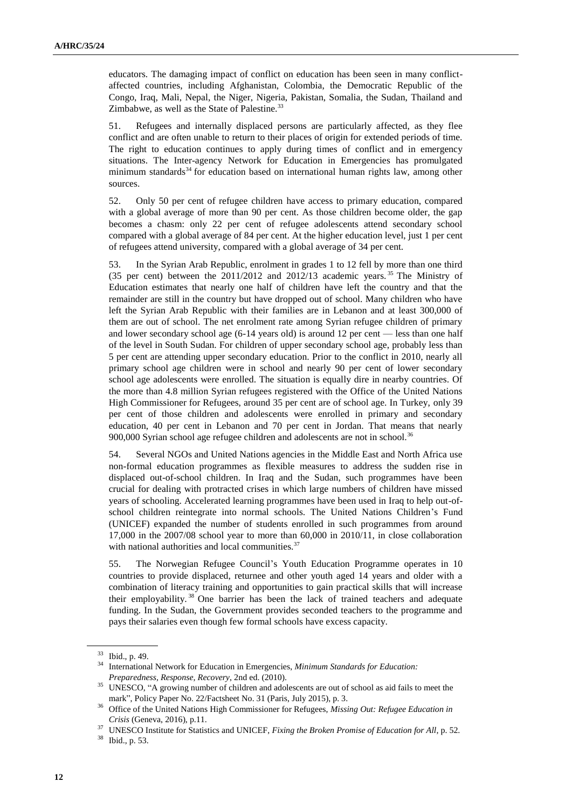educators. The damaging impact of conflict on education has been seen in many conflictaffected countries, including Afghanistan, Colombia, the Democratic Republic of the Congo, Iraq, Mali, Nepal, the Niger, Nigeria, Pakistan, Somalia, the Sudan, Thailand and Zimbabwe, as well as the State of Palestine.<sup>33</sup>

51. Refugees and internally displaced persons are particularly affected, as they flee conflict and are often unable to return to their places of origin for extended periods of time. The right to education continues to apply during times of conflict and in emergency situations. The Inter-agency Network for Education in Emergencies has promulgated minimum standards<sup>34</sup> for education based on international human rights law, among other sources.

52. Only 50 per cent of refugee children have access to primary education, compared with a global average of more than 90 per cent. As those children become older, the gap becomes a chasm: only 22 per cent of refugee adolescents attend secondary school compared with a global average of 84 per cent. At the higher education level, just 1 per cent of refugees attend university, compared with a global average of 34 per cent.

53. In the Syrian Arab Republic, enrolment in grades 1 to 12 fell by more than one third (35 per cent) between the  $2011/2012$  and  $2012/13$  academic years.<sup>35</sup> The Ministry of Education estimates that nearly one half of children have left the country and that the remainder are still in the country but have dropped out of school. Many children who have left the Syrian Arab Republic with their families are in Lebanon and at least 300,000 of them are out of school. The net enrolment rate among Syrian refugee children of primary and lower secondary school age (6-14 years old) is around 12 per cent — less than one half of the level in South Sudan. For children of upper secondary school age, probably less than 5 per cent are attending upper secondary education. Prior to the conflict in 2010, nearly all primary school age children were in school and nearly 90 per cent of lower secondary school age adolescents were enrolled. The situation is equally dire in nearby countries. Of the more than 4.8 million Syrian refugees registered with the Office of the United Nations High Commissioner for Refugees, around 35 per cent are of school age. In Turkey, only 39 per cent of those children and adolescents were enrolled in primary and secondary education, 40 per cent in Lebanon and 70 per cent in Jordan. That means that nearly 900,000 Syrian school age refugee children and adolescents are not in school.<sup>36</sup>

54. Several NGOs and United Nations agencies in the Middle East and North Africa use non-formal education programmes as flexible measures to address the sudden rise in displaced out-of-school children. In Iraq and the Sudan, such programmes have been crucial for dealing with protracted crises in which large numbers of children have missed years of schooling. Accelerated learning programmes have been used in Iraq to help out-ofschool children reintegrate into normal schools. The United Nations Children's Fund (UNICEF) expanded the number of students enrolled in such programmes from around 17,000 in the 2007/08 school year to more than 60,000 in 2010/11, in close collaboration with national authorities and local communities.<sup>37</sup>

55. The Norwegian Refugee Council's Youth Education Programme operates in 10 countries to provide displaced, returnee and other youth aged 14 years and older with a combination of literacy training and opportunities to gain practical skills that will increase their employability. <sup>38</sup> One barrier has been the lack of trained teachers and adequate funding. In the Sudan, the Government provides seconded teachers to the programme and pays their salaries even though few formal schools have excess capacity.

<sup>33</sup> Ibid., p. 49.

<sup>34</sup> International Network for Education in Emergencies, *Minimum Standards for Education: Preparedness, Response, Recovery*, 2nd ed. (2010).

<sup>&</sup>lt;sup>35</sup> UNESCO, "A growing number of children and adolescents are out of school as aid fails to meet the mark", Policy Paper No. 22/Factsheet No. 31 (Paris, July 2015), p. 3.

<sup>36</sup> Office of the United Nations High Commissioner for Refugees, *Missing Out: Refugee Education in Crisis* (Geneva, 2016), p.11.

<sup>&</sup>lt;sup>37</sup> UNESCO Institute for Statistics and UNICEF, *Fixing the Broken Promise of Education for All*, p. 52.

<sup>38</sup> Ibid., p. 53.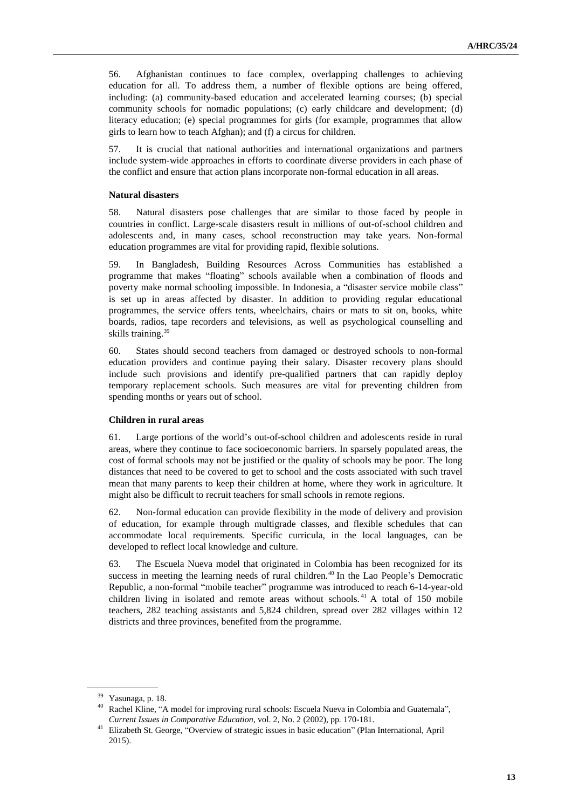56. Afghanistan continues to face complex, overlapping challenges to achieving education for all. To address them, a number of flexible options are being offered, including: (a) community-based education and accelerated learning courses; (b) special community schools for nomadic populations; (c) early childcare and development; (d) literacy education; (e) special programmes for girls (for example, programmes that allow girls to learn how to teach Afghan); and (f) a circus for children.

57. It is crucial that national authorities and international organizations and partners include system-wide approaches in efforts to coordinate diverse providers in each phase of the conflict and ensure that action plans incorporate non-formal education in all areas.

#### **Natural disasters**

58. Natural disasters pose challenges that are similar to those faced by people in countries in conflict. Large-scale disasters result in millions of out-of-school children and adolescents and, in many cases, school reconstruction may take years. Non-formal education programmes are vital for providing rapid, flexible solutions.

59. In Bangladesh, Building Resources Across Communities has established a programme that makes "floating" schools available when a combination of floods and poverty make normal schooling impossible. In Indonesia, a "disaster service mobile class" is set up in areas affected by disaster. In addition to providing regular educational programmes, the service offers tents, wheelchairs, chairs or mats to sit on, books, white boards, radios, tape recorders and televisions, as well as psychological counselling and skills training.<sup>39</sup>

60. States should second teachers from damaged or destroyed schools to non-formal education providers and continue paying their salary. Disaster recovery plans should include such provisions and identify pre-qualified partners that can rapidly deploy temporary replacement schools. Such measures are vital for preventing children from spending months or years out of school.

#### **Children in rural areas**

61. Large portions of the world's out-of-school children and adolescents reside in rural areas, where they continue to face socioeconomic barriers. In sparsely populated areas, the cost of formal schools may not be justified or the quality of schools may be poor. The long distances that need to be covered to get to school and the costs associated with such travel mean that many parents to keep their children at home, where they work in agriculture. It might also be difficult to recruit teachers for small schools in remote regions.

62. Non-formal education can provide flexibility in the mode of delivery and provision of education, for example through multigrade classes, and flexible schedules that can accommodate local requirements. Specific curricula, in the local languages, can be developed to reflect local knowledge and culture.

63. The Escuela Nueva model that originated in Colombia has been recognized for its success in meeting the learning needs of rural children.<sup>40</sup> In the Lao People's Democratic Republic, a non-formal "mobile teacher" programme was introduced to reach 6-14-year-old children living in isolated and remote areas without schools.<sup>41</sup> A total of 150 mobile teachers, 282 teaching assistants and 5,824 children, spread over 282 villages within 12 districts and three provinces, benefited from the programme.

<sup>39</sup> Yasunaga, p. 18.

<sup>40</sup> Rachel Kline, "A model for improving rural schools: Escuela Nueva in Colombia and Guatemala", *Current Issues in Comparative Education*, vol. 2, No. 2 (2002), pp. 170-181.

<sup>41</sup> Elizabeth St. George, "Overview of strategic issues in basic education" (Plan International, April 2015).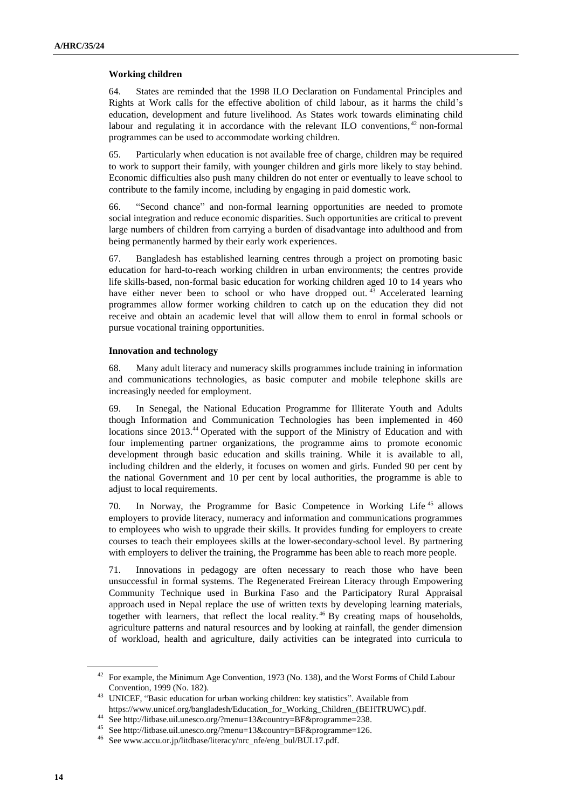#### **Working children**

64. States are reminded that the 1998 ILO Declaration on Fundamental Principles and Rights at Work calls for the effective abolition of child labour, as it harms the child's education, development and future livelihood. As States work towards eliminating child labour and regulating it in accordance with the relevant ILO conventions,  $42$  non-formal programmes can be used to accommodate working children.

65. Particularly when education is not available free of charge, children may be required to work to support their family, with younger children and girls more likely to stay behind. Economic difficulties also push many children do not enter or eventually to leave school to contribute to the family income, including by engaging in paid domestic work.

66. "Second chance" and non-formal learning opportunities are needed to promote social integration and reduce economic disparities. Such opportunities are critical to prevent large numbers of children from carrying a burden of disadvantage into adulthood and from being permanently harmed by their early work experiences.

67. Bangladesh has established learning centres through a project on promoting basic education for hard-to-reach working children in urban environments; the centres provide life skills-based, non-formal basic education for working children aged 10 to 14 years who have either never been to school or who have dropped out.  $43$  Accelerated learning programmes allow former working children to catch up on the education they did not receive and obtain an academic level that will allow them to enrol in formal schools or pursue vocational training opportunities.

#### **Innovation and technology**

68. Many adult literacy and numeracy skills programmes include training in information and communications technologies, as basic computer and mobile telephone skills are increasingly needed for employment.

69. In Senegal, the National Education Programme for Illiterate Youth and Adults though Information and Communication Technologies has been implemented in 460 locations since 2013.<sup>44</sup> Operated with the support of the Ministry of Education and with four implementing partner organizations, the programme aims to promote economic development through basic education and skills training. While it is available to all, including children and the elderly, it focuses on women and girls. Funded 90 per cent by the national Government and 10 per cent by local authorities, the programme is able to adjust to local requirements.

70. In Norway, the Programme for Basic Competence in Working Life <sup>45</sup> allows employers to provide literacy, numeracy and information and communications programmes to employees who wish to upgrade their skills. It provides funding for employers to create courses to teach their employees skills at the lower-secondary-school level. By partnering with employers to deliver the training, the Programme has been able to reach more people.

71. Innovations in pedagogy are often necessary to reach those who have been unsuccessful in formal systems. The Regenerated Freirean Literacy through Empowering Community Technique used in Burkina Faso and the Participatory Rural Appraisal approach used in Nepal replace the use of written texts by developing learning materials, together with learners, that reflect the local reality. <sup>46</sup> By creating maps of households, agriculture patterns and natural resources and by looking at rainfall, the gender dimension of workload, health and agriculture, daily activities can be integrated into curricula to

<sup>&</sup>lt;sup>42</sup> For example, the Minimum Age Convention, 1973 (No. 138), and the Worst Forms of Child Labour Convention, 1999 (No. 182).

<sup>&</sup>lt;sup>43</sup> UNICEF, "Basic education for urban working children: key statistics". Available from https://www.unicef.org/bangladesh/Education\_for\_Working\_Children\_(BEHTRUWC).pdf.

<sup>44</sup> See http://litbase.uil.unesco.org/?menu=13&country=BF&programme=238.

<sup>45</sup> See http://litbase.uil.unesco.org/?menu=13&country=BF&programme=126.

<sup>46</sup> See www.accu.or.jp/litdbase/literacy/nrc\_nfe/eng\_bul/BUL17.pdf.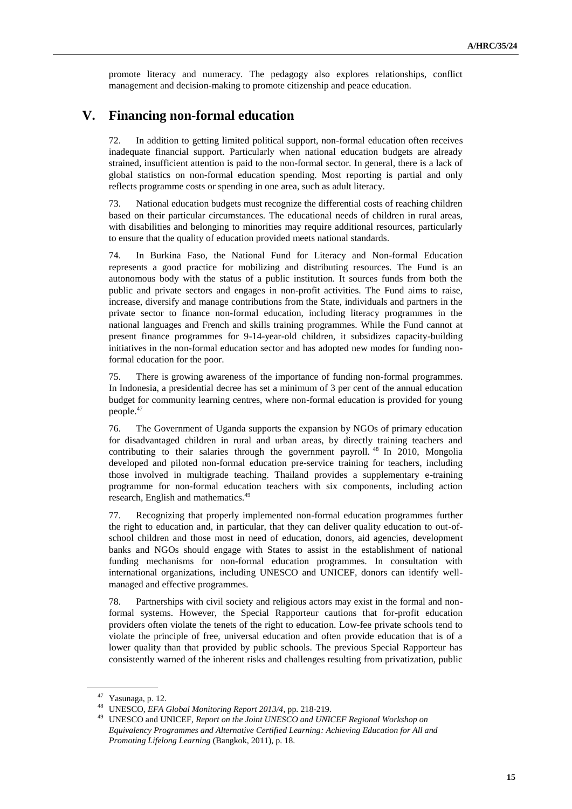promote literacy and numeracy. The pedagogy also explores relationships, conflict management and decision-making to promote citizenship and peace education.

# **V. Financing non-formal education**

72. In addition to getting limited political support, non-formal education often receives inadequate financial support. Particularly when national education budgets are already strained, insufficient attention is paid to the non-formal sector. In general, there is a lack of global statistics on non-formal education spending. Most reporting is partial and only reflects programme costs or spending in one area, such as adult literacy.

73. National education budgets must recognize the differential costs of reaching children based on their particular circumstances. The educational needs of children in rural areas, with disabilities and belonging to minorities may require additional resources, particularly to ensure that the quality of education provided meets national standards.

74. In Burkina Faso, the National Fund for Literacy and Non-formal Education represents a good practice for mobilizing and distributing resources. The Fund is an autonomous body with the status of a public institution. It sources funds from both the public and private sectors and engages in non-profit activities. The Fund aims to raise, increase, diversify and manage contributions from the State, individuals and partners in the private sector to finance non-formal education, including literacy programmes in the national languages and French and skills training programmes. While the Fund cannot at present finance programmes for 9-14-year-old children, it subsidizes capacity-building initiatives in the non-formal education sector and has adopted new modes for funding nonformal education for the poor.

75. There is growing awareness of the importance of funding non-formal programmes. In Indonesia, a presidential decree has set a minimum of 3 per cent of the annual education budget for community learning centres, where non-formal education is provided for young people.<sup>47</sup>

76. The Government of Uganda supports the expansion by NGOs of primary education for disadvantaged children in rural and urban areas, by directly training teachers and contributing to their salaries through the government payroll. <sup>48</sup> In 2010, Mongolia developed and piloted non-formal education pre-service training for teachers, including those involved in multigrade teaching. Thailand provides a supplementary e-training programme for non-formal education teachers with six components, including action research, English and mathematics.<sup>49</sup>

77. Recognizing that properly implemented non-formal education programmes further the right to education and, in particular, that they can deliver quality education to out-ofschool children and those most in need of education, donors, aid agencies, development banks and NGOs should engage with States to assist in the establishment of national funding mechanisms for non-formal education programmes. In consultation with international organizations, including UNESCO and UNICEF, donors can identify wellmanaged and effective programmes.

78. Partnerships with civil society and religious actors may exist in the formal and nonformal systems. However, the Special Rapporteur cautions that for-profit education providers often violate the tenets of the right to education. Low-fee private schools tend to violate the principle of free, universal education and often provide education that is of a lower quality than that provided by public schools. The previous Special Rapporteur has consistently warned of the inherent risks and challenges resulting from privatization, public

<sup>47</sup> Yasunaga, p. 12.

<sup>48</sup> UNESCO, *EFA Global Monitoring Report 2013/4*, pp. 218-219.

<sup>49</sup> UNESCO and UNICEF, *Report on the Joint UNESCO and UNICEF Regional Workshop on Equivalency Programmes and Alternative Certified Learning: Achieving Education for All and Promoting Lifelong Learning* (Bangkok, 2011), p. 18.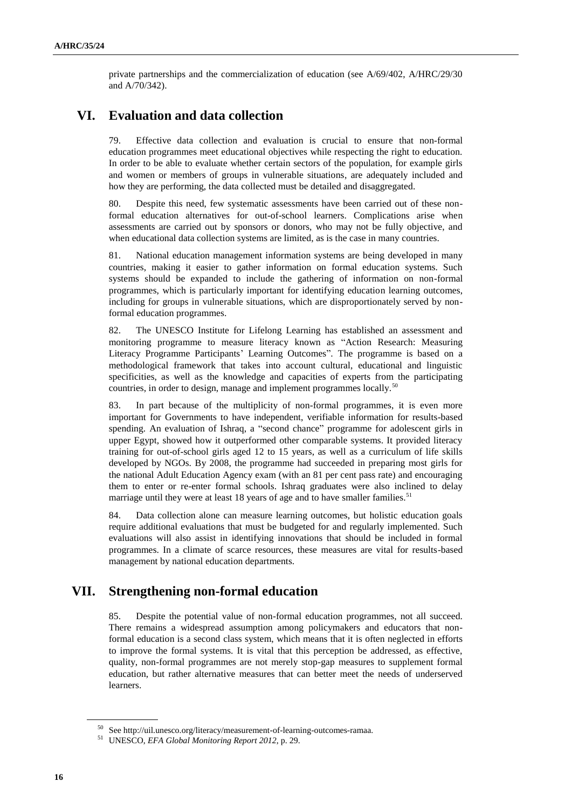private partnerships and the commercialization of education (see A/69/402, A/HRC/29/30 and A/70/342).

# **VI. Evaluation and data collection**

79. Effective data collection and evaluation is crucial to ensure that non-formal education programmes meet educational objectives while respecting the right to education. In order to be able to evaluate whether certain sectors of the population, for example girls and women or members of groups in vulnerable situations, are adequately included and how they are performing, the data collected must be detailed and disaggregated.

80. Despite this need, few systematic assessments have been carried out of these nonformal education alternatives for out-of-school learners. Complications arise when assessments are carried out by sponsors or donors, who may not be fully objective, and when educational data collection systems are limited, as is the case in many countries.

81. National education management information systems are being developed in many countries, making it easier to gather information on formal education systems. Such systems should be expanded to include the gathering of information on non-formal programmes, which is particularly important for identifying education learning outcomes, including for groups in vulnerable situations, which are disproportionately served by nonformal education programmes.

82. The UNESCO Institute for Lifelong Learning has established an assessment and monitoring programme to measure literacy known as "Action Research: Measuring Literacy Programme Participants' Learning Outcomes". The programme is based on a methodological framework that takes into account cultural, educational and linguistic specificities, as well as the knowledge and capacities of experts from the participating countries, in order to design, manage and implement programmes locally.<sup>50</sup>

83. In part because of the multiplicity of non-formal programmes, it is even more important for Governments to have independent, verifiable information for results-based spending. An evaluation of Ishraq, a "second chance" programme for adolescent girls in upper Egypt, showed how it outperformed other comparable systems. It provided literacy training for out-of-school girls aged 12 to 15 years, as well as a curriculum of life skills developed by NGOs. By 2008, the programme had succeeded in preparing most girls for the national Adult Education Agency exam (with an 81 per cent pass rate) and encouraging them to enter or re-enter formal schools. Ishraq graduates were also inclined to delay marriage until they were at least 18 years of age and to have smaller families.<sup>51</sup>

84. Data collection alone can measure learning outcomes, but holistic education goals require additional evaluations that must be budgeted for and regularly implemented. Such evaluations will also assist in identifying innovations that should be included in formal programmes. In a climate of scarce resources, these measures are vital for results-based management by national education departments.

# **VII. Strengthening non-formal education**

85. Despite the potential value of non-formal education programmes, not all succeed. There remains a widespread assumption among policymakers and educators that nonformal education is a second class system, which means that it is often neglected in efforts to improve the formal systems. It is vital that this perception be addressed, as effective, quality, non-formal programmes are not merely stop-gap measures to supplement formal education, but rather alternative measures that can better meet the needs of underserved learners.

See http://uil.unesco.org/literacy/measurement-of-learning-outcomes-ramaa.

<sup>51</sup> UNESCO, *EFA Global Monitoring Report 2012*, p. 29.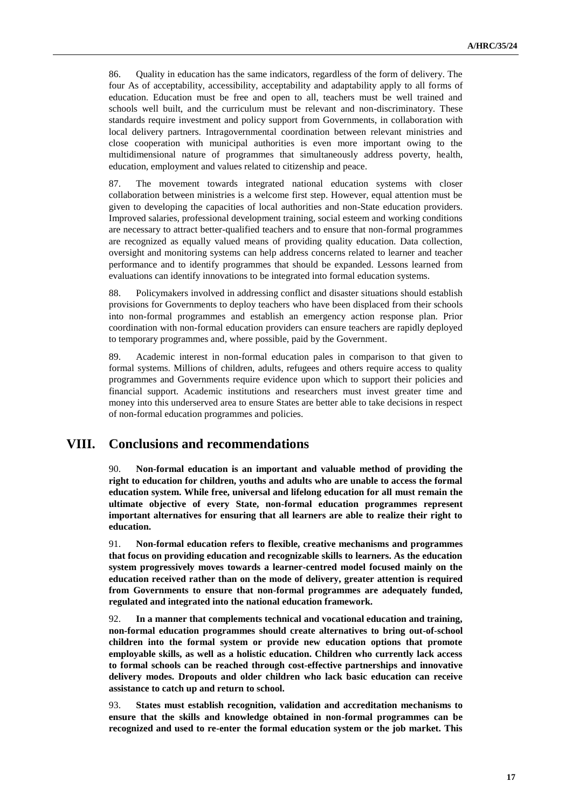86. Quality in education has the same indicators, regardless of the form of delivery. The four As of acceptability, accessibility, acceptability and adaptability apply to all forms of education. Education must be free and open to all, teachers must be well trained and schools well built, and the curriculum must be relevant and non-discriminatory. These standards require investment and policy support from Governments, in collaboration with local delivery partners. Intragovernmental coordination between relevant ministries and close cooperation with municipal authorities is even more important owing to the multidimensional nature of programmes that simultaneously address poverty, health, education, employment and values related to citizenship and peace.

87. The movement towards integrated national education systems with closer collaboration between ministries is a welcome first step. However, equal attention must be given to developing the capacities of local authorities and non-State education providers. Improved salaries, professional development training, social esteem and working conditions are necessary to attract better-qualified teachers and to ensure that non-formal programmes are recognized as equally valued means of providing quality education. Data collection, oversight and monitoring systems can help address concerns related to learner and teacher performance and to identify programmes that should be expanded. Lessons learned from evaluations can identify innovations to be integrated into formal education systems.

88. Policymakers involved in addressing conflict and disaster situations should establish provisions for Governments to deploy teachers who have been displaced from their schools into non-formal programmes and establish an emergency action response plan. Prior coordination with non-formal education providers can ensure teachers are rapidly deployed to temporary programmes and, where possible, paid by the Government.

89. Academic interest in non-formal education pales in comparison to that given to formal systems. Millions of children, adults, refugees and others require access to quality programmes and Governments require evidence upon which to support their policies and financial support. Academic institutions and researchers must invest greater time and money into this underserved area to ensure States are better able to take decisions in respect of non-formal education programmes and policies.

## **VIII. Conclusions and recommendations**

90. **Non-formal education is an important and valuable method of providing the right to education for children, youths and adults who are unable to access the formal education system. While free, universal and lifelong education for all must remain the ultimate objective of every State, non-formal education programmes represent important alternatives for ensuring that all learners are able to realize their right to education.**

91. **Non-formal education refers to flexible, creative mechanisms and programmes that focus on providing education and recognizable skills to learners. As the education system progressively moves towards a learner-centred model focused mainly on the education received rather than on the mode of delivery, greater attention is required from Governments to ensure that non-formal programmes are adequately funded, regulated and integrated into the national education framework.** 

92. **In a manner that complements technical and vocational education and training, non-formal education programmes should create alternatives to bring out-of-school children into the formal system or provide new education options that promote employable skills, as well as a holistic education. Children who currently lack access to formal schools can be reached through cost-effective partnerships and innovative delivery modes. Dropouts and older children who lack basic education can receive assistance to catch up and return to school.** 

93. **States must establish recognition, validation and accreditation mechanisms to ensure that the skills and knowledge obtained in non-formal programmes can be recognized and used to re-enter the formal education system or the job market. This**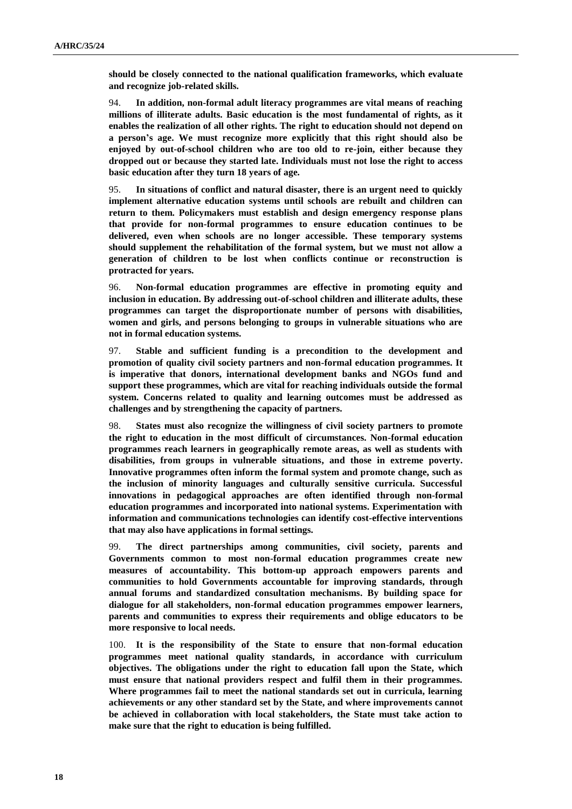**should be closely connected to the national qualification frameworks, which evaluate and recognize job-related skills.**

94. **In addition, non-formal adult literacy programmes are vital means of reaching millions of illiterate adults. Basic education is the most fundamental of rights, as it enables the realization of all other rights. The right to education should not depend on a person's age. We must recognize more explicitly that this right should also be enjoyed by out-of-school children who are too old to re-join, either because they dropped out or because they started late. Individuals must not lose the right to access basic education after they turn 18 years of age.**

95. **In situations of conflict and natural disaster, there is an urgent need to quickly implement alternative education systems until schools are rebuilt and children can return to them. Policymakers must establish and design emergency response plans that provide for non-formal programmes to ensure education continues to be delivered, even when schools are no longer accessible. These temporary systems should supplement the rehabilitation of the formal system, but we must not allow a generation of children to be lost when conflicts continue or reconstruction is protracted for years.**

96. **Non-formal education programmes are effective in promoting equity and inclusion in education. By addressing out-of-school children and illiterate adults, these programmes can target the disproportionate number of persons with disabilities, women and girls, and persons belonging to groups in vulnerable situations who are not in formal education systems.** 

97. **Stable and sufficient funding is a precondition to the development and promotion of quality civil society partners and non-formal education programmes. It is imperative that donors, international development banks and NGOs fund and support these programmes, which are vital for reaching individuals outside the formal system. Concerns related to quality and learning outcomes must be addressed as challenges and by strengthening the capacity of partners.**

98. **States must also recognize the willingness of civil society partners to promote the right to education in the most difficult of circumstances. Non-formal education programmes reach learners in geographically remote areas, as well as students with disabilities, from groups in vulnerable situations, and those in extreme poverty. Innovative programmes often inform the formal system and promote change, such as the inclusion of minority languages and culturally sensitive curricula. Successful innovations in pedagogical approaches are often identified through non-formal education programmes and incorporated into national systems. Experimentation with information and communications technologies can identify cost-effective interventions that may also have applications in formal settings.**

99. **The direct partnerships among communities, civil society, parents and Governments common to most non-formal education programmes create new measures of accountability. This bottom-up approach empowers parents and communities to hold Governments accountable for improving standards, through annual forums and standardized consultation mechanisms. By building space for dialogue for all stakeholders, non-formal education programmes empower learners, parents and communities to express their requirements and oblige educators to be more responsive to local needs.**

100. **It is the responsibility of the State to ensure that non-formal education programmes meet national quality standards, in accordance with curriculum objectives. The obligations under the right to education fall upon the State, which must ensure that national providers respect and fulfil them in their programmes. Where programmes fail to meet the national standards set out in curricula, learning achievements or any other standard set by the State, and where improvements cannot be achieved in collaboration with local stakeholders, the State must take action to make sure that the right to education is being fulfilled.**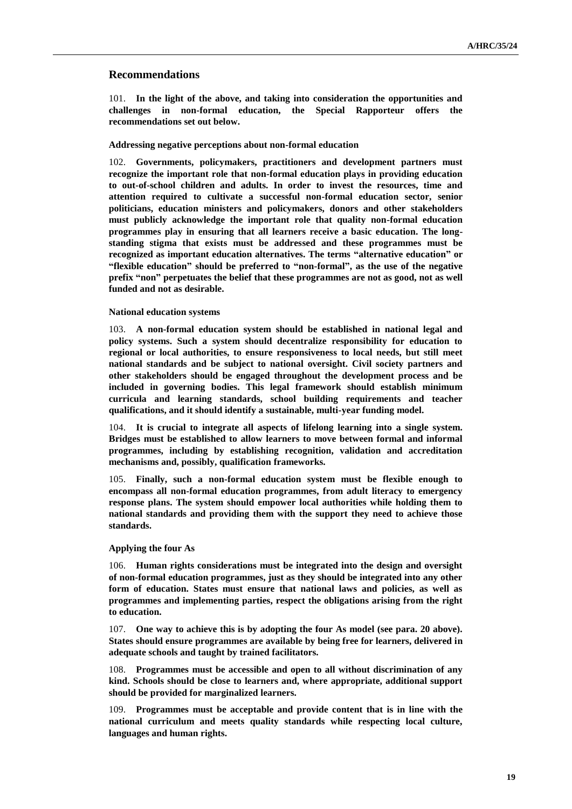### **Recommendations**

101. **In the light of the above, and taking into consideration the opportunities and challenges in non-formal education, the Special Rapporteur offers the recommendations set out below.**

#### **Addressing negative perceptions about non-formal education**

102. **Governments, policymakers, practitioners and development partners must recognize the important role that non-formal education plays in providing education to out-of-school children and adults. In order to invest the resources, time and attention required to cultivate a successful non-formal education sector, senior politicians, education ministers and policymakers, donors and other stakeholders must publicly acknowledge the important role that quality non-formal education programmes play in ensuring that all learners receive a basic education. The longstanding stigma that exists must be addressed and these programmes must be recognized as important education alternatives. The terms "alternative education" or "flexible education" should be preferred to "non-formal", as the use of the negative prefix "non" perpetuates the belief that these programmes are not as good, not as well funded and not as desirable.**

### **National education systems**

103. **A non-formal education system should be established in national legal and policy systems. Such a system should decentralize responsibility for education to regional or local authorities, to ensure responsiveness to local needs, but still meet national standards and be subject to national oversight. Civil society partners and other stakeholders should be engaged throughout the development process and be included in governing bodies. This legal framework should establish minimum curricula and learning standards, school building requirements and teacher qualifications, and it should identify a sustainable, multi-year funding model.** 

104. **It is crucial to integrate all aspects of lifelong learning into a single system. Bridges must be established to allow learners to move between formal and informal programmes, including by establishing recognition, validation and accreditation mechanisms and, possibly, qualification frameworks.**

105. **Finally, such a non-formal education system must be flexible enough to encompass all non-formal education programmes, from adult literacy to emergency response plans. The system should empower local authorities while holding them to national standards and providing them with the support they need to achieve those standards.**

#### **Applying the four As**

106. **Human rights considerations must be integrated into the design and oversight of non-formal education programmes, just as they should be integrated into any other form of education. States must ensure that national laws and policies, as well as programmes and implementing parties, respect the obligations arising from the right to education.** 

107. **One way to achieve this is by adopting the four As model (see para. 20 above). States should ensure programmes are available by being free for learners, delivered in adequate schools and taught by trained facilitators.**

108. **Programmes must be accessible and open to all without discrimination of any kind. Schools should be close to learners and, where appropriate, additional support should be provided for marginalized learners.** 

109. **Programmes must be acceptable and provide content that is in line with the national curriculum and meets quality standards while respecting local culture, languages and human rights.**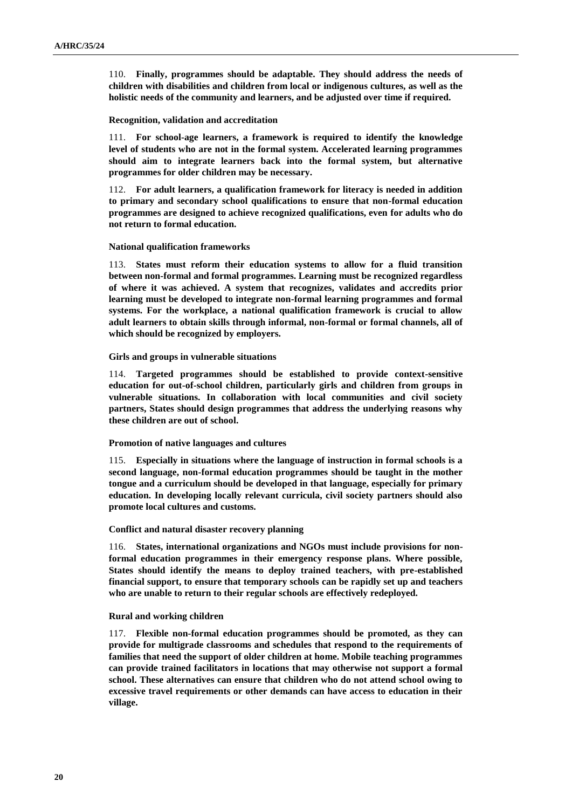110. **Finally, programmes should be adaptable. They should address the needs of children with disabilities and children from local or indigenous cultures, as well as the holistic needs of the community and learners, and be adjusted over time if required.**

#### **Recognition, validation and accreditation**

111. **For school-age learners, a framework is required to identify the knowledge level of students who are not in the formal system. Accelerated learning programmes should aim to integrate learners back into the formal system, but alternative programmes for older children may be necessary.**

112. **For adult learners, a qualification framework for literacy is needed in addition to primary and secondary school qualifications to ensure that non-formal education programmes are designed to achieve recognized qualifications, even for adults who do not return to formal education.** 

### **National qualification frameworks**

113. **States must reform their education systems to allow for a fluid transition between non-formal and formal programmes. Learning must be recognized regardless of where it was achieved. A system that recognizes, validates and accredits prior learning must be developed to integrate non-formal learning programmes and formal systems. For the workplace, a national qualification framework is crucial to allow adult learners to obtain skills through informal, non-formal or formal channels, all of which should be recognized by employers.** 

### **Girls and groups in vulnerable situations**

114. **Targeted programmes should be established to provide context-sensitive education for out-of-school children, particularly girls and children from groups in vulnerable situations. In collaboration with local communities and civil society partners, States should design programmes that address the underlying reasons why these children are out of school.**

### **Promotion of native languages and cultures**

115. **Especially in situations where the language of instruction in formal schools is a second language, non-formal education programmes should be taught in the mother tongue and a curriculum should be developed in that language, especially for primary education. In developing locally relevant curricula, civil society partners should also promote local cultures and customs.**

### **Conflict and natural disaster recovery planning**

116. **States, international organizations and NGOs must include provisions for nonformal education programmes in their emergency response plans. Where possible, States should identify the means to deploy trained teachers, with pre-established financial support, to ensure that temporary schools can be rapidly set up and teachers who are unable to return to their regular schools are effectively redeployed.**

#### **Rural and working children**

117. **Flexible non-formal education programmes should be promoted, as they can provide for multigrade classrooms and schedules that respond to the requirements of families that need the support of older children at home. Mobile teaching programmes can provide trained facilitators in locations that may otherwise not support a formal school. These alternatives can ensure that children who do not attend school owing to excessive travel requirements or other demands can have access to education in their village.**